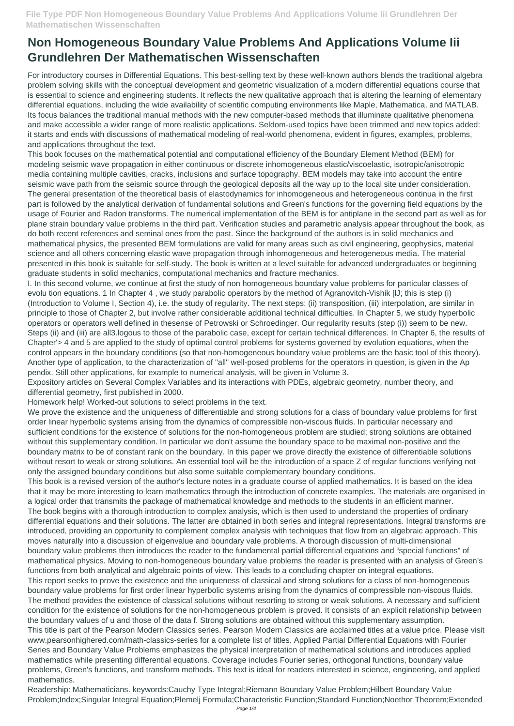## **Non Homogeneous Boundary Value Problems And Applications Volume Iii Grundlehren Der Mathematischen Wissenschaften**

For introductory courses in Differential Equations. This best-selling text by these well-known authors blends the traditional algebra problem solving skills with the conceptual development and geometric visualization of a modern differential equations course that is essential to science and engineering students. It reflects the new qualitative approach that is altering the learning of elementary differential equations, including the wide availability of scientific computing environments like Maple, Mathematica, and MATLAB. Its focus balances the traditional manual methods with the new computer-based methods that illuminate qualitative phenomena and make accessible a wider range of more realistic applications. Seldom-used topics have been trimmed and new topics added: it starts and ends with discussions of mathematical modeling of real-world phenomena, evident in figures, examples, problems, and applications throughout the text.

This book focuses on the mathematical potential and computational efficiency of the Boundary Element Method (BEM) for modeling seismic wave propagation in either continuous or discrete inhomogeneous elastic/viscoelastic, isotropic/anisotropic media containing multiple cavities, cracks, inclusions and surface topography. BEM models may take into account the entire seismic wave path from the seismic source through the geological deposits all the way up to the local site under consideration. The general presentation of the theoretical basis of elastodynamics for inhomogeneous and heterogeneous continua in the first part is followed by the analytical derivation of fundamental solutions and Green's functions for the governing field equations by the usage of Fourier and Radon transforms. The numerical implementation of the BEM is for antiplane in the second part as well as for plane strain boundary value problems in the third part. Verification studies and parametric analysis appear throughout the book, as do both recent references and seminal ones from the past. Since the background of the authors is in solid mechanics and mathematical physics, the presented BEM formulations are valid for many areas such as civil engineering, geophysics, material science and all others concerning elastic wave propagation through inhomogeneous and heterogeneous media. The material presented in this book is suitable for self-study. The book is written at a level suitable for advanced undergraduates or beginning graduate students in solid mechanics, computational mechanics and fracture mechanics.

I. In this second volume, we continue at first the study of non homogeneous boundary value problems for particular classes of evolu tion equations. 1 In Chapter 4 , we study parabolic operators by the method of Agranovitch-Vishik [lJ; this is step (i) (Introduction to Volume I, Section 4), i.e. the study of regularity. The next steps: (ii) transposition, (iii) interpolation, are similar in principle to those of Chapter 2, but involve rather considerable additional technical difficulties. In Chapter 5, we study hyperbolic operators or operators well defined in thesense of Petrowski or Schroedinger. Our regularity results (step (i)) seem to be new. Steps (ii) and (iii) are all3.logous to those of the parabolic case, except for certain technical differences. In Chapter 6, the results of Chapter'> 4 and 5 are applied to the study of optimal control problems for systems governed by evolution equations, when the control appears in the boundary conditions (so that non-homogeneous boundary value problems are the basic tool of this theory). Another type of application, to the characterization of "all" well-posed problems for the operators in question, is given in the Ap pendix. Still other applications, for example to numerical analysis, will be given in Volume 3.

Expository articles on Several Complex Variables and its interactions with PDEs, algebraic geometry, number theory, and differential geometry, first published in 2000.

Homework help! Worked-out solutions to select problems in the text.

We prove the existence and the uniqueness of differentiable and strong solutions for a class of boundary value problems for first order linear hyperbolic systems arising from the dynamics of compressible non-viscous fluids. In particular necessary and sufficient conditions for the existence of solutions for the non-homogeneous problem are studied; strong solutions are obtained without this supplementary condition. In particular we don't assume the boundary space to be maximal non-positive and the boundary matrix to be of constant rank on the boundary. In this paper we prove directly the existence of differentiable solutions without resort to weak or strong solutions. An essential tool will be the introduction of a space Z of regular functions verifying not only the assigned boundary conditions but also some suitable complementary boundary conditions.

This book is a revised version of the author's lecture notes in a graduate course of applied mathematics. It is based on the idea that it may be more interesting to learn mathematics through the introduction of concrete examples. The materials are organised in a logical order that transmits the package of mathematical knowledge and methods to the students in an efficient manner. The book begins with a thorough introduction to complex analysis, which is then used to understand the properties of ordinary differential equations and their solutions. The latter are obtained in both series and integral representations. Integral transforms are introduced, providing an opportunity to complement complex analysis with techniques that flow from an algebraic approach. This moves naturally into a discussion of eigenvalue and boundary vale problems. A thorough discussion of multi-dimensional boundary value problems then introduces the reader to the fundamental partial differential equations and "special functions" of mathematical physics. Moving to non-homogeneous boundary value problems the reader is presented with an analysis of Green's functions from both analytical and algebraic points of view. This leads to a concluding chapter on integral equations. This report seeks to prove the existence and the uniqueness of classical and strong solutions for a class of non-homogeneous boundary value problems for first order linear hyperbolic systems arising from the dynamics of compressible non-viscous fluids. The method provides the existence of classical solutions without resorting to strong or weak solutions. A necessary and sufficient condition for the existence of solutions for the non-homogeneous problem is proved. It consists of an explicit relationship between the boundary values of u and those of the data f. Strong solutions are obtained without this supplementary assumption. This title is part of the Pearson Modern Classics series. Pearson Modern Classics are acclaimed titles at a value price. Please visit www.pearsonhighered.com/math-classics-series for a complete list of titles. Applied Partial Differential Equations with Fourier Series and Boundary Value Problems emphasizes the physical interpretation of mathematical solutions and introduces applied mathematics while presenting differential equations. Coverage includes Fourier series, orthogonal functions, boundary value problems, Green's functions, and transform methods. This text is ideal for readers interested in science, engineering, and applied mathematics. Readership: Mathematicians. keywords:Cauchy Type Integral;Riemann Boundary Value Problem;Hilbert Boundary Value Problem;Index;Singular Integral Equation;Plemelj Formula;Characteristic Function;Standard Function;Noethor Theorem;Extended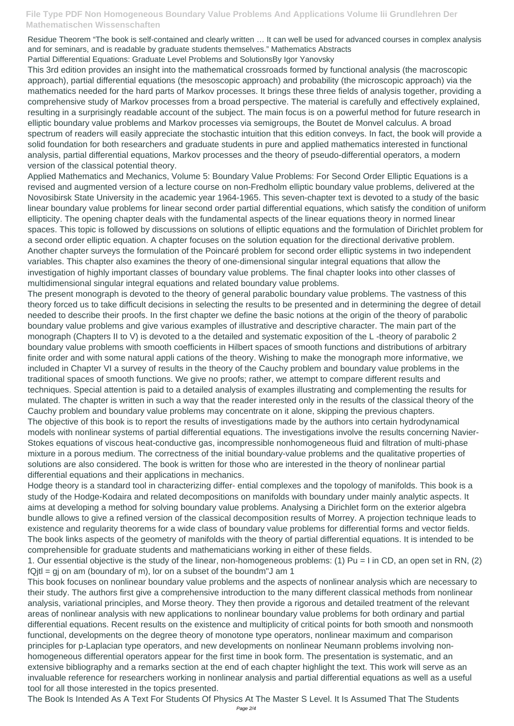## **File Type PDF Non Homogeneous Boundary Value Problems And Applications Volume Iii Grundlehren Der Mathematischen Wissenschaften**

Residue Theorem "The book is self-contained and clearly written … It can well be used for advanced courses in complex analysis and for seminars, and is readable by graduate students themselves." Mathematics Abstracts

Partial Differential Equations: Graduate Level Problems and SolutionsBy Igor Yanovsky

This 3rd edition provides an insight into the mathematical crossroads formed by functional analysis (the macroscopic approach), partial differential equations (the mesoscopic approach) and probability (the microscopic approach) via the mathematics needed for the hard parts of Markov processes. It brings these three fields of analysis together, providing a comprehensive study of Markov processes from a broad perspective. The material is carefully and effectively explained, resulting in a surprisingly readable account of the subject. The main focus is on a powerful method for future research in elliptic boundary value problems and Markov processes via semigroups, the Boutet de Monvel calculus. A broad spectrum of readers will easily appreciate the stochastic intuition that this edition conveys. In fact, the book will provide a solid foundation for both researchers and graduate students in pure and applied mathematics interested in functional analysis, partial differential equations, Markov processes and the theory of pseudo-differential operators, a modern version of the classical potential theory.

Applied Mathematics and Mechanics, Volume 5: Boundary Value Problems: For Second Order Elliptic Equations is a revised and augmented version of a lecture course on non-Fredholm elliptic boundary value problems, delivered at the Novosibirsk State University in the academic year 1964-1965. This seven-chapter text is devoted to a study of the basic linear boundary value problems for linear second order partial differential equations, which satisfy the condition of uniform ellipticity. The opening chapter deals with the fundamental aspects of the linear equations theory in normed linear spaces. This topic is followed by discussions on solutions of elliptic equations and the formulation of Dirichlet problem for a second order elliptic equation. A chapter focuses on the solution equation for the directional derivative problem. Another chapter surveys the formulation of the Poincaré problem for second order elliptic systems in two independent variables. This chapter also examines the theory of one-dimensional singular integral equations that allow the investigation of highly important classes of boundary value problems. The final chapter looks into other classes of multidimensional singular integral equations and related boundary value problems.

1. Our essential objective is the study of the linear, non-homogeneous problems: (1) Pu = I in CD, an open set in RN, (2)  $fQjtl = gj$  on am (boundary of m), lor on a subset of the boundm"J am 1

The present monograph is devoted to the theory of general parabolic boundary value problems. The vastness of this theory forced us to take difficult decisions in selecting the results to be presented and in determining the degree of detail needed to describe their proofs. In the first chapter we define the basic notions at the origin of the theory of parabolic boundary value problems and give various examples of illustrative and descriptive character. The main part of the monograph (Chapters II to V) is devoted to a the detailed and systematic exposition of the L -theory of parabolic 2 boundary value problems with smooth coefficients in Hilbert spaces of smooth functions and distributions of arbitrary finite order and with some natural appli cations of the theory. Wishing to make the monograph more informative, we included in Chapter VI a survey of results in the theory of the Cauchy problem and boundary value problems in the traditional spaces of smooth functions. We give no proofs; rather, we attempt to compare different results and techniques. Special attention is paid to a detailed analysis of examples illustrating and complementing the results for mulated. The chapter is written in such a way that the reader interested only in the results of the classical theory of the Cauchy problem and boundary value problems may concentrate on it alone, skipping the previous chapters. The objective of this book is to report the results of investigations made by the authors into certain hydrodynamical models with nonlinear systems of partial differential equations. The investigations involve the results concerning Navier-Stokes equations of viscous heat-conductive gas, incompressible nonhomogeneous fluid and filtration of multi-phase mixture in a porous medium. The correctness of the initial boundary-value problems and the qualitative properties of solutions are also considered. The book is written for those who are interested in the theory of nonlinear partial differential equations and their applications in mechanics.

Hodge theory is a standard tool in characterizing differ- ential complexes and the topology of manifolds. This book is a study of the Hodge-Kodaira and related decompositions on manifolds with boundary under mainly analytic aspects. It aims at developing a method for solving boundary value problems. Analysing a Dirichlet form on the exterior algebra bundle allows to give a refined version of the classical decomposition results of Morrey. A projection technique leads to existence and regularity theorems for a wide class of boundary value problems for differential forms and vector fields. The book links aspects of the geometry of manifolds with the theory of partial differential equations. It is intended to be

comprehensible for graduate students and mathematicians working in either of these fields.

This book focuses on nonlinear boundary value problems and the aspects of nonlinear analysis which are necessary to their study. The authors first give a comprehensive introduction to the many different classical methods from nonlinear analysis, variational principles, and Morse theory. They then provide a rigorous and detailed treatment of the relevant areas of nonlinear analysis with new applications to nonlinear boundary value problems for both ordinary and partial differential equations. Recent results on the existence and multiplicity of critical points for both smooth and nonsmooth functional, developments on the degree theory of monotone type operators, nonlinear maximum and comparison principles for p-Laplacian type operators, and new developments on nonlinear Neumann problems involving nonhomogeneous differential operators appear for the first time in book form. The presentation is systematic, and an extensive bibliography and a remarks section at the end of each chapter highlight the text. This work will serve as an invaluable reference for researchers working in nonlinear analysis and partial differential equations as well as a useful tool for all those interested in the topics presented.

The Book Is Intended As A Text For Students Of Physics At The Master S Level. It Is Assumed That The Students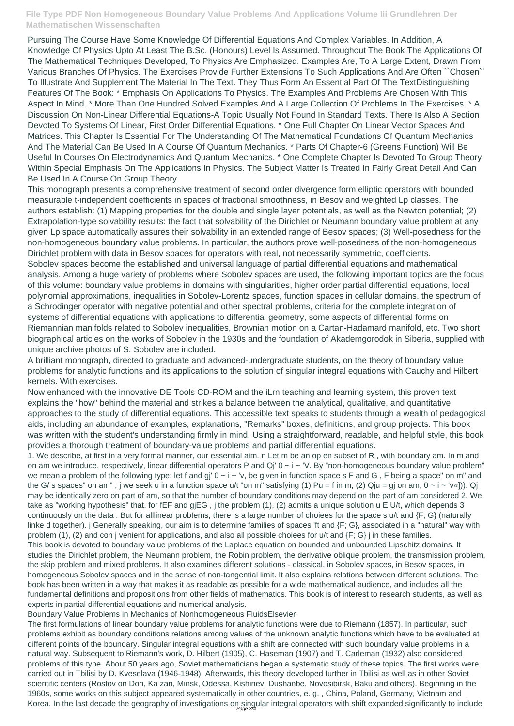## **File Type PDF Non Homogeneous Boundary Value Problems And Applications Volume Iii Grundlehren Der Mathematischen Wissenschaften**

Pursuing The Course Have Some Knowledge Of Differential Equations And Complex Variables. In Addition, A Knowledge Of Physics Upto At Least The B.Sc. (Honours) Level Is Assumed. Throughout The Book The Applications Of The Mathematical Techniques Developed, To Physics Are Emphasized. Examples Are, To A Large Extent, Drawn From Various Branches Of Physics. The Exercises Provide Further Extensions To Such Applications And Are Often ``Chosen`` To Illustrate And Supplement The Material In The Text. They Thus Form An Essential Part Of The TextDistinguishing Features Of The Book: \* Emphasis On Applications To Physics. The Examples And Problems Are Chosen With This Aspect In Mind. \* More Than One Hundred Solved Examples And A Large Collection Of Problems In The Exercises. \* A Discussion On Non-Linear Differential Equations-A Topic Usually Not Found In Standard Texts. There Is Also A Section Devoted To Systems Of Linear, First Order Differential Equations. \* One Full Chapter On Linear Vector Spaces And Matrices. This Chapter Is Essential For The Understanding Of The Mathematical Foundations Of Quantum Mechanics And The Material Can Be Used In A Course Of Quantum Mechanics. \* Parts Of Chapter-6 (Greens Function) Will Be Useful In Courses On Electrodynamics And Quantum Mechanics. \* One Complete Chapter Is Devoted To Group Theory Within Special Emphasis On The Applications In Physics. The Subject Matter Is Treated In Fairly Great Detail And Can Be Used In A Course On Group Theory.

This monograph presents a comprehensive treatment of second order divergence form elliptic operators with bounded measurable t-independent coefficients in spaces of fractional smoothness, in Besov and weighted Lp classes. The authors establish: (1) Mapping properties for the double and single layer potentials, as well as the Newton potential; (2) Extrapolation-type solvability results: the fact that solvability of the Dirichlet or Neumann boundary value problem at any given Lp space automatically assures their solvability in an extended range of Besov spaces; (3) Well-posedness for the non-homogeneous boundary value problems. In particular, the authors prove well-posedness of the non-homogeneous Dirichlet problem with data in Besov spaces for operators with real, not necessarily symmetric, coefficients. Sobolev spaces become the established and universal language of partial differential equations and mathematical analysis. Among a huge variety of problems where Sobolev spaces are used, the following important topics are the focus of this volume: boundary value problems in domains with singularities, higher order partial differential equations, local polynomial approximations, inequalities in Sobolev-Lorentz spaces, function spaces in cellular domains, the spectrum of a Schrodinger operator with negative potential and other spectral problems, criteria for the complete integration of systems of differential equations with applications to differential geometry, some aspects of differential forms on Riemannian manifolds related to Sobolev inequalities, Brownian motion on a Cartan-Hadamard manifold, etc. Two short biographical articles on the works of Sobolev in the 1930s and the foundation of Akademgorodok in Siberia, supplied with unique archive photos of S. Sobolev are included.

The first formulations of linear boundary value problems for analytic functions were due to Riemann (1857). In particular, such problems exhibit as boundary conditions relations among values of the unknown analytic functions which have to be evaluated at different points of the boundary. Singular integral equations with a shift are connected with such boundary value problems in a natural way. Subsequent to Riemann's work, D. Hilbert (1905), C. Haseman (1907) and T. Carleman (1932) also considered problems of this type. About 50 years ago, Soviet mathematicians began a systematic study of these topics. The first works were carried out in Tbilisi by D. Kveselava (1946-1948). Afterwards, this theory developed further in Tbilisi as well as in other Soviet scientific centers (Rostov on Don, Ka zan, Minsk, Odessa, Kishinev, Dushanbe, Novosibirsk, Baku and others). Beginning in the 1960s, some works on this subject appeared systematically in other countries, e. g. , China, Poland, Germany, Vietnam and Korea. In the last decade the geography of investigations on singular integral operators with shift expanded significantly to include

A brilliant monograph, directed to graduate and advanced-undergraduate students, on the theory of boundary value problems for analytic functions and its applications to the solution of singular integral equations with Cauchy and Hilbert kernels. With exercises.

Now enhanced with the innovative DE Tools CD-ROM and the iLrn teaching and learning system, this proven text explains the "how" behind the material and strikes a balance between the analytical, qualitative, and quantitative approaches to the study of differential equations. This accessible text speaks to students through a wealth of pedagogical aids, including an abundance of examples, explanations, "Remarks" boxes, definitions, and group projects. This book was written with the student's understanding firmly in mind. Using a straightforward, readable, and helpful style, this book provides a thorough treatment of boundary-value problems and partial differential equations.

1. We describe, at first in a very formaI manner, our essential aim. n Let m be an op en subset of R , with boundary am. In m and on am we introduce, respectively, linear differential operators P and Qj' 0 ~ i ~ 'V. By "non-homogeneous boundary value problem" we mean a problem of the following type: let f and gi'  $0 \sim i \sim$  'v, be given in function space s F and G, F being a space" on m" and the G/ s spaces" on am"; j we seek u in a function space  $u/t$  "on m" satisfying (1) Pu = f in m, (2) Qju = gj on am,  $0 \sim i \sim v(0)$ ). Qj may be identically zero on part of am, so that the number of boundary conditions may depend on the part of am considered 2. We take as "working hypothesis" that, for fEF and gjEG , j the problem (1), (2) admits a unique solution u E U/t, which depends 3 continuously on the data. But for alllinear problems, there is a large number of choiees for the space s u/t and {F; G} (naturally linke d together). j Generally speaking, our aim is to determine families of spaces 'ft and {F; G}, associated in a "natural" way with problem (1), (2) and con j venient for applications, and also all possible choiees for u/t and {F; G} j in these families. This book is devoted to boundary value problems of the Laplace equation on bounded and unbounded Lipschitz domains. It

studies the Dirichlet problem, the Neumann problem, the Robin problem, the derivative oblique problem, the transmission problem, the skip problem and mixed problems. It also examines different solutions - classical, in Sobolev spaces, in Besov spaces, in homogeneous Sobolev spaces and in the sense of non-tangential limit. It also explains relations between different solutions. The book has been written in a way that makes it as readable as possible for a wide mathematical audience, and includes all the fundamental definitions and propositions from other fields of mathematics. This book is of interest to research students, as well as experts in partial differential equations and numerical analysis.

Boundary Value Problems in Mechanics of Nonhomogeneous FluidsElsevier